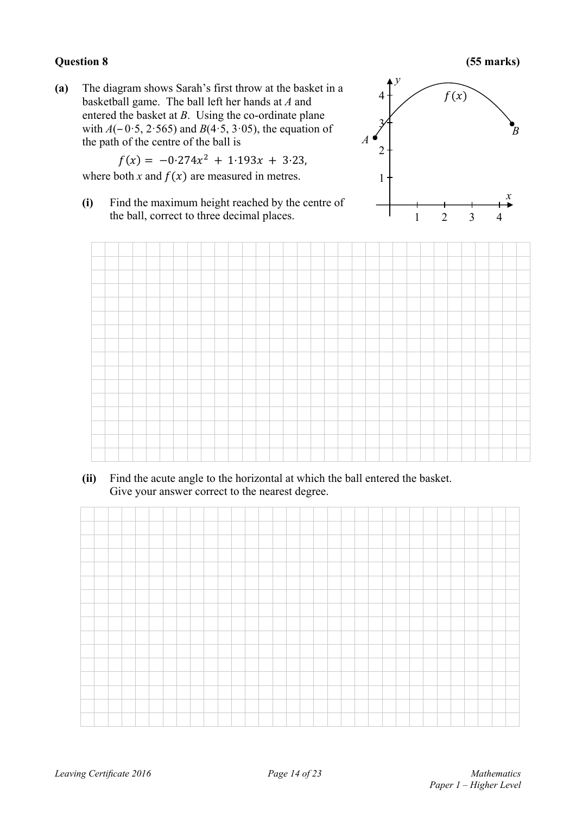## **Question 8 (55 marks)**

**(a)** The diagram shows Sarah's first throw at the basket in a basketball game. The ball left her hands at *A* and entered the basket at *B*. Using the co-ordinate plane with  $A(-0.5, 2.565)$  and  $B(4.5, 3.05)$ , the equation of the path of the centre of the ball is

$$
f(x) = -0.274x^2 + 1.193x + 3.23,
$$

where both *x* and  $f(x)$  are measured in metres.

**(i)** Find the maximum height reached by the centre of the ball, correct to three decimal places.





**(ii)** Find the acute angle to the horizontal at which the ball entered the basket. Give your answer correct to the nearest degree.

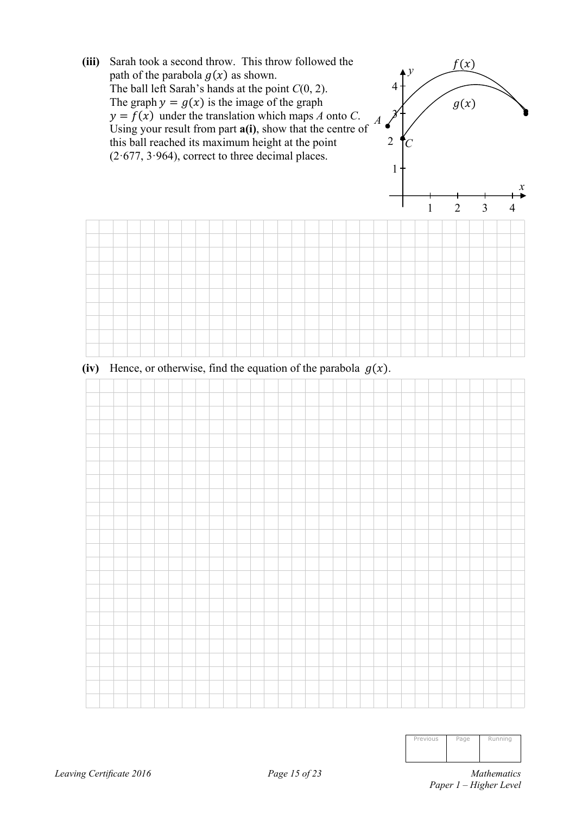

| Previous | Page | Running |
|----------|------|---------|
|          |      |         |
|          |      |         |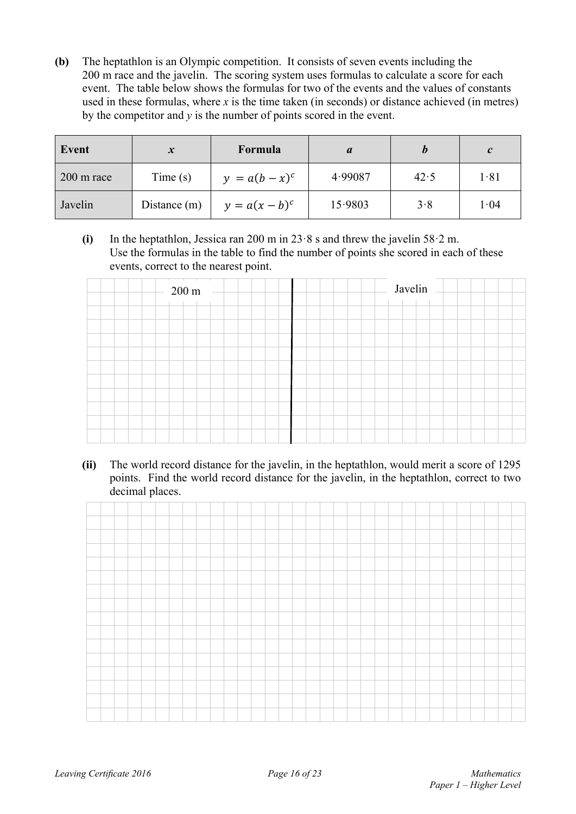**(b)** The heptathlon is an Olympic competition. It consists of seven events including the 200 m race and the javelin.The scoring system uses formulas to calculate a score for each event. The table below shows the formulas for two of the events and the values of constants used in these formulas, where  $x$  is the time taken (in seconds) or distance achieved (in metres) by the competitor and *y* is the number of points scored in the event.

| Event                | $\boldsymbol{x}$ | Formula          |         |      | $\mathcal{C}$ |
|----------------------|------------------|------------------|---------|------|---------------|
| $200 \text{ m}$ race | Time(s)          | $y = a(b - x)^c$ | 4.99087 | 42.5 | 1.81          |
| Javelin              | Distance (m)     | $y = a(x - b)^c$ | 15.9803 | 3.8  | 1.04          |

 **(i)** In the heptathlon, Jessica ran 200 m in 23·8 s and threw the javelin 58·2 m. Use the formulas in the table to find the number of points she scored in each of these events, correct to the nearest point.

| $200 \text{ m}$ – | Javelin |
|-------------------|---------|
|                   |         |
|                   |         |
|                   |         |
|                   |         |
|                   |         |
|                   |         |
|                   |         |
|                   |         |
|                   |         |

**(ii)** The world record distance for the javelin, in the heptathlon, would merit a score of 1295 points. Find the world record distance for the javelin, in the heptathlon, correct to two decimal places.

|  | and the contract of the contract of the contract of the contract of the contract of the contract of the contract of the contract of the contract of the contract of the contract of the contract of the contract of the contra |  |  |  |  |  |  |  |  |  |  |  |  |  |  |  |
|--|--------------------------------------------------------------------------------------------------------------------------------------------------------------------------------------------------------------------------------|--|--|--|--|--|--|--|--|--|--|--|--|--|--|--|
|  |                                                                                                                                                                                                                                |  |  |  |  |  |  |  |  |  |  |  |  |  |  |  |
|  |                                                                                                                                                                                                                                |  |  |  |  |  |  |  |  |  |  |  |  |  |  |  |
|  |                                                                                                                                                                                                                                |  |  |  |  |  |  |  |  |  |  |  |  |  |  |  |
|  |                                                                                                                                                                                                                                |  |  |  |  |  |  |  |  |  |  |  |  |  |  |  |
|  |                                                                                                                                                                                                                                |  |  |  |  |  |  |  |  |  |  |  |  |  |  |  |
|  |                                                                                                                                                                                                                                |  |  |  |  |  |  |  |  |  |  |  |  |  |  |  |
|  |                                                                                                                                                                                                                                |  |  |  |  |  |  |  |  |  |  |  |  |  |  |  |
|  |                                                                                                                                                                                                                                |  |  |  |  |  |  |  |  |  |  |  |  |  |  |  |
|  |                                                                                                                                                                                                                                |  |  |  |  |  |  |  |  |  |  |  |  |  |  |  |
|  |                                                                                                                                                                                                                                |  |  |  |  |  |  |  |  |  |  |  |  |  |  |  |
|  |                                                                                                                                                                                                                                |  |  |  |  |  |  |  |  |  |  |  |  |  |  |  |
|  |                                                                                                                                                                                                                                |  |  |  |  |  |  |  |  |  |  |  |  |  |  |  |
|  |                                                                                                                                                                                                                                |  |  |  |  |  |  |  |  |  |  |  |  |  |  |  |
|  |                                                                                                                                                                                                                                |  |  |  |  |  |  |  |  |  |  |  |  |  |  |  |
|  |                                                                                                                                                                                                                                |  |  |  |  |  |  |  |  |  |  |  |  |  |  |  |
|  |                                                                                                                                                                                                                                |  |  |  |  |  |  |  |  |  |  |  |  |  |  |  |
|  |                                                                                                                                                                                                                                |  |  |  |  |  |  |  |  |  |  |  |  |  |  |  |